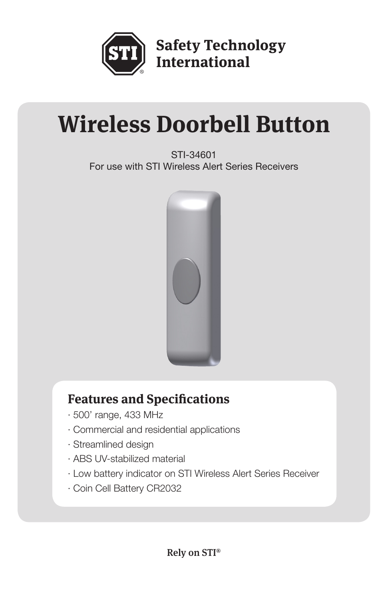

**Safety Technology**<br>International

# **Wireless Doorbell Button**

STI-34601 For use with STI Wireless Alert Series Receivers



# **Features and Specifications**

- · 500' range, 433 MHz
- · Commercial and residential applications
- · Streamlined design
- · ABS UV-stabilized material
- · Low battery indicator on STI Wireless Alert Series Receiver
- · Coin Cell Battery CR2032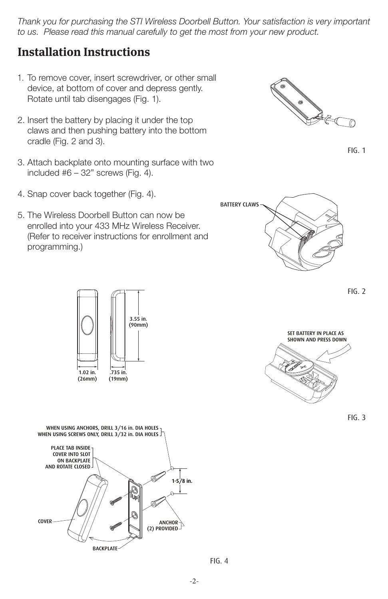*Thank you for purchasing the STI Wireless Doorbell Button. Your satisfaction is very important to us. Please read this manual carefully to get the most from your new product.*

#### **Installation Instructions**

- 1. To remove cover, insert screwdriver, or other small device, at bottom of cover and depress gently. Rotate until tab disengages (Fig. 1).
- 2. Insert the battery by placing it under the top claws and then pushing battery into the bottom cradle (Fig. 2 and 3).
- 3. Attach backplate onto mounting surface with two included  $#6 - 32"$  screws (Fig. 4).
	- 4. Snap cover back together (Fig. 4).
	- 5. The Wireless Doorbell Button can now be enrolled into your 433 MHz Wireless Receiver. (Refer to receiver instructions for enrollment and programming.)



FIG. 1



FIG. 2











FIG. 4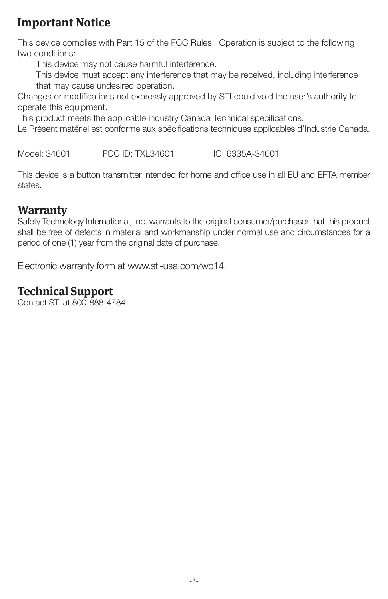## **Important Notice**

This device complies with Part 15 of the FCC Rules. Operation is subject to the following two conditions:

This device may not cause harmful interference.

This device must accept any interference that may be received, including interference that may cause undesired operation.

Changes or modifications not expressly approved by STI could void the user's authority to operate this equipment.

This product meets the applicable industry Canada Technical specifications.

Le Présent matériel est conforme aux spécifications techniques applicables d'Industrie Canada.

Model: 34601 FCC ID: TXL34601 IC: 6335A-34601

This device is a button transmitter intended for home and office use in all EU and EFTA member states.

#### **Warranty**

Safety Technology International, Inc. warrants to the original consumer/purchaser that this product shall be free of defects in material and workmanship under normal use and circumstances for a period of one (1) year from the original date of purchase.

Electronic warranty form at www.sti-usa.com/wc14.

### **Technical Support**

Contact STI at 800-888-4784